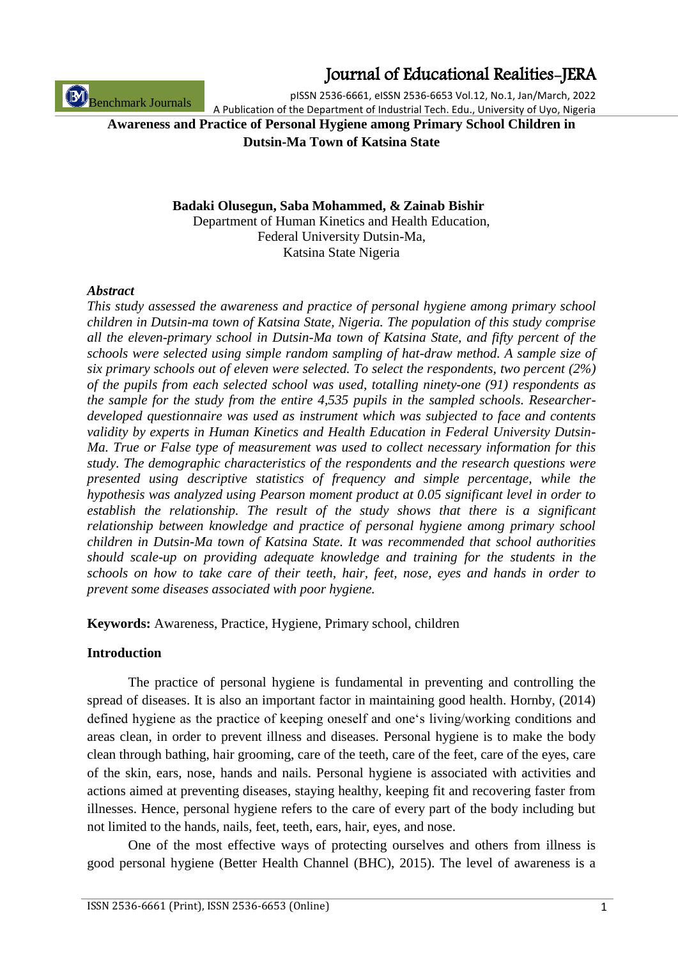ISSN 2536-6661 (Print), ISSN 2536-6653 (Online) 1

Journal of Educational Realities-JERA

pISSN 2536-6661, eISSN 2536-6653 Vol.12, No.1, Jan/March, 2022 A Publication of the Department of Industrial Tech. Edu., University of Uyo, Nigeria

**Awareness and Practice of Personal Hygiene among Primary School Children in Dutsin-Ma Town of Katsina State**

> **Badaki Olusegun, Saba Mohammed, & Zainab Bishir** Department of Human Kinetics and Health Education, Federal University Dutsin-Ma, Katsina State Nigeria

#### *Abstract*

*This study assessed the awareness and practice of personal hygiene among primary school children in Dutsin-ma town of Katsina State, Nigeria. The population of this study comprise all the eleven-primary school in Dutsin-Ma town of Katsina State, and fifty percent of the schools were selected using simple random sampling of hat-draw method. A sample size of six primary schools out of eleven were selected. To select the respondents, two percent (2%) of the pupils from each selected school was used, totalling ninety-one (91) respondents as the sample for the study from the entire 4,535 pupils in the sampled schools. Researcherdeveloped questionnaire was used as instrument which was subjected to face and contents validity by experts in Human Kinetics and Health Education in Federal University Dutsin-Ma. True or False type of measurement was used to collect necessary information for this study. The demographic characteristics of the respondents and the research questions were presented using descriptive statistics of frequency and simple percentage, while the hypothesis was analyzed using Pearson moment product at 0.05 significant level in order to establish the relationship. The result of the study shows that there is a significant relationship between knowledge and practice of personal hygiene among primary school children in Dutsin-Ma town of Katsina State. It was recommended that school authorities should scale-up on providing adequate knowledge and training for the students in the schools on how to take care of their teeth, hair, feet, nose, eyes and hands in order to prevent some diseases associated with poor hygiene.*

**Keywords:** Awareness, Practice, Hygiene, Primary school, children

#### **Introduction**

The practice of personal hygiene is fundamental in preventing and controlling the spread of diseases. It is also an important factor in maintaining good health. Hornby, (2014) defined hygiene as the practice of keeping oneself and one"s living/working conditions and areas clean, in order to prevent illness and diseases. Personal hygiene is to make the body clean through bathing, hair grooming, care of the teeth, care of the feet, care of the eyes, care of the skin, ears, nose, hands and nails. Personal hygiene is associated with activities and actions aimed at preventing diseases, staying healthy, keeping fit and recovering faster from illnesses. Hence, personal hygiene refers to the care of every part of the body including but not limited to the hands, nails, feet, teeth, ears, hair, eyes, and nose.

One of the most effective ways of protecting ourselves and others from illness is good personal hygiene (Better Health Channel (BHC), 2015). The level of awareness is a

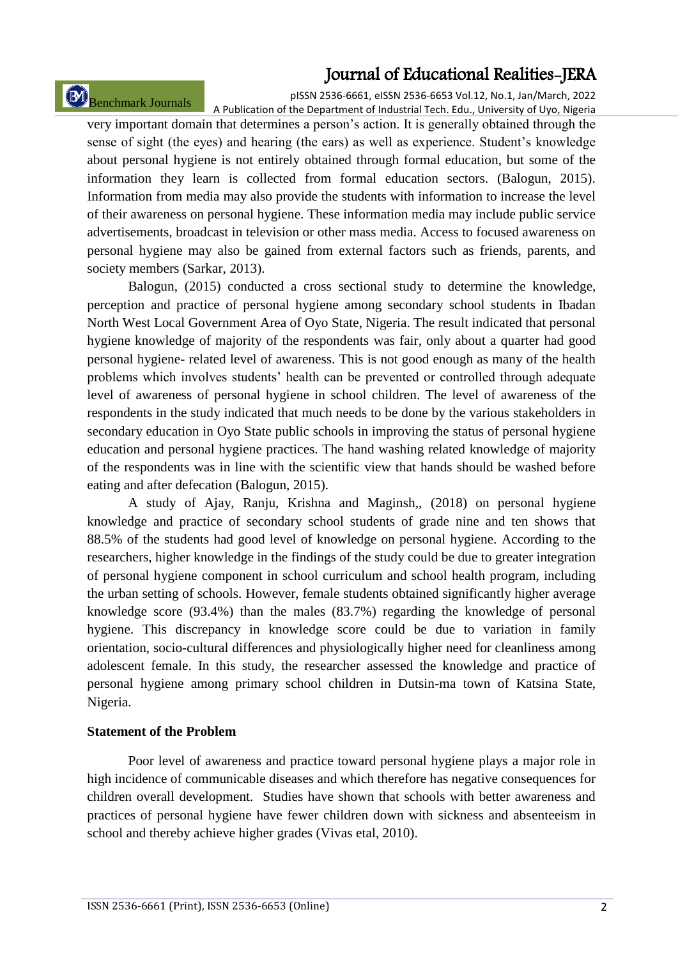# Benchmark Journals

pISSN 2536-6661, eISSN 2536-6653 Vol.12, No.1, Jan/March, 2022 A Publication of the Department of Industrial Tech. Edu., University of Uyo, Nigeria

very important domain that determines a person"s action. It is generally obtained through the sense of sight (the eyes) and hearing (the ears) as well as experience. Student"s knowledge about personal hygiene is not entirely obtained through formal education, but some of the information they learn is collected from formal education sectors. (Balogun, 2015). Information from media may also provide the students with information to increase the level of their awareness on personal hygiene. These information media may include public service advertisements, broadcast in television or other mass media. Access to focused awareness on personal hygiene may also be gained from external factors such as friends, parents, and society members (Sarkar, 2013).

Balogun, (2015) conducted a cross sectional study to determine the knowledge, perception and practice of personal hygiene among secondary school students in Ibadan North West Local Government Area of Oyo State, Nigeria. The result indicated that personal hygiene knowledge of majority of the respondents was fair, only about a quarter had good personal hygiene- related level of awareness. This is not good enough as many of the health problems which involves students" health can be prevented or controlled through adequate level of awareness of personal hygiene in school children. The level of awareness of the respondents in the study indicated that much needs to be done by the various stakeholders in secondary education in Oyo State public schools in improving the status of personal hygiene education and personal hygiene practices. The hand washing related knowledge of majority of the respondents was in line with the scientific view that hands should be washed before eating and after defecation (Balogun, 2015).

A study of Ajay, Ranju, Krishna and Maginsh,, (2018) on personal hygiene knowledge and practice of secondary school students of grade nine and ten shows that 88.5% of the students had good level of knowledge on personal hygiene. According to the researchers, higher knowledge in the findings of the study could be due to greater integration of personal hygiene component in school curriculum and school health program, including the urban setting of schools. However, female students obtained significantly higher average knowledge score (93.4%) than the males (83.7%) regarding the knowledge of personal hygiene. This discrepancy in knowledge score could be due to variation in family orientation, socio-cultural differences and physiologically higher need for cleanliness among adolescent female. In this study, the researcher assessed the knowledge and practice of personal hygiene among primary school children in Dutsin-ma town of Katsina State, Nigeria.

#### **Statement of the Problem**

Poor level of awareness and practice toward personal hygiene plays a major role in high incidence of communicable diseases and which therefore has negative consequences for children overall development. Studies have shown that schools with better awareness and practices of personal hygiene have fewer children down with sickness and absenteeism in school and thereby achieve higher grades (Vivas etal, 2010).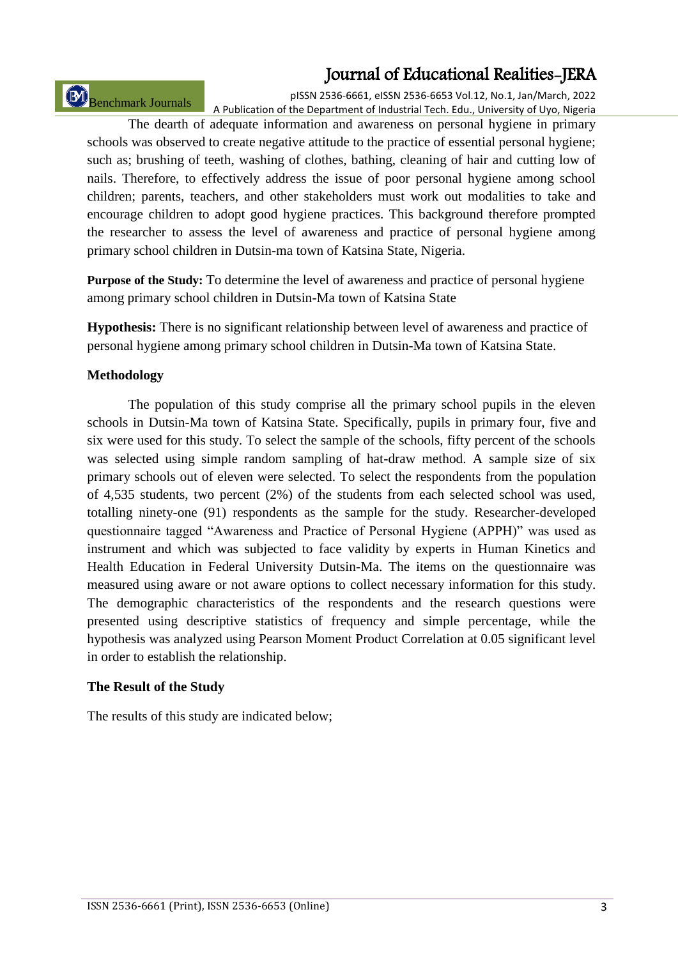Benchmark Journals

pISSN 2536-6661, eISSN 2536-6653 Vol.12, No.1, Jan/March, 2022 A Publication of the Department of Industrial Tech. Edu., University of Uyo, Nigeria

The dearth of adequate information and awareness on personal hygiene in primary schools was observed to create negative attitude to the practice of essential personal hygiene; such as; brushing of teeth, washing of clothes, bathing, cleaning of hair and cutting low of nails. Therefore, to effectively address the issue of poor personal hygiene among school children; parents, teachers, and other stakeholders must work out modalities to take and encourage children to adopt good hygiene practices. This background therefore prompted the researcher to assess the level of awareness and practice of personal hygiene among primary school children in Dutsin-ma town of Katsina State, Nigeria.

**Purpose of the Study:** To determine the level of awareness and practice of personal hygiene among primary school children in Dutsin-Ma town of Katsina State

**Hypothesis:** There is no significant relationship between level of awareness and practice of personal hygiene among primary school children in Dutsin-Ma town of Katsina State.

## **Methodology**

The population of this study comprise all the primary school pupils in the eleven schools in Dutsin-Ma town of Katsina State. Specifically, pupils in primary four, five and six were used for this study. To select the sample of the schools, fifty percent of the schools was selected using simple random sampling of hat-draw method. A sample size of six primary schools out of eleven were selected. To select the respondents from the population of 4,535 students, two percent (2%) of the students from each selected school was used, totalling ninety-one (91) respondents as the sample for the study. Researcher-developed questionnaire tagged "Awareness and Practice of Personal Hygiene (APPH)" was used as instrument and which was subjected to face validity by experts in Human Kinetics and Health Education in Federal University Dutsin-Ma. The items on the questionnaire was measured using aware or not aware options to collect necessary information for this study. The demographic characteristics of the respondents and the research questions were presented using descriptive statistics of frequency and simple percentage, while the hypothesis was analyzed using Pearson Moment Product Correlation at 0.05 significant level in order to establish the relationship.

#### **The Result of the Study**

The results of this study are indicated below;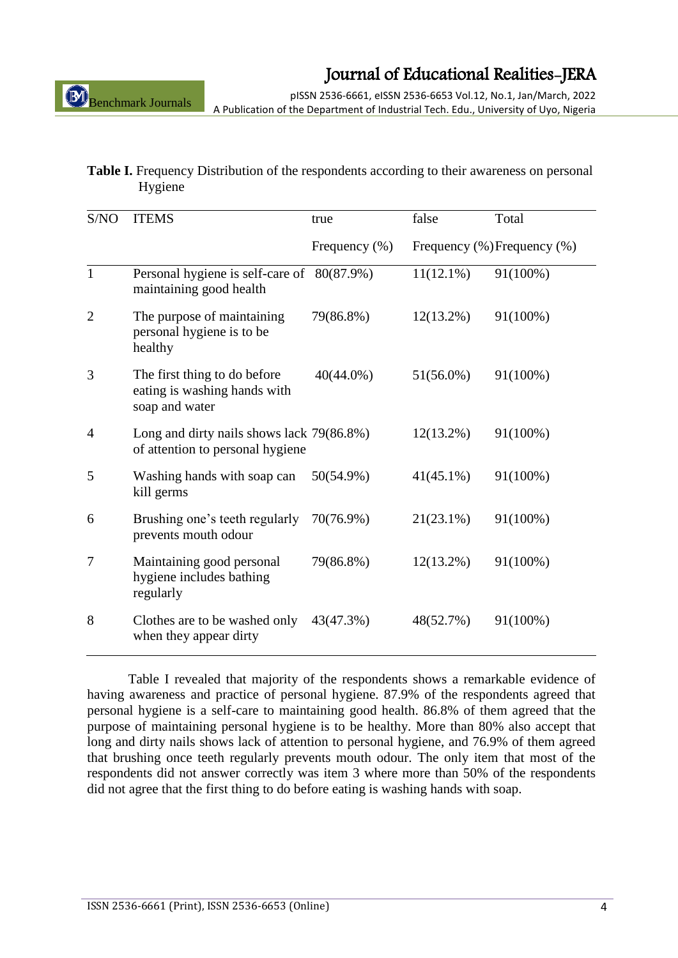pISSN 2536-6661, eISSN 2536-6653 Vol.12, No.1, Jan/March, 2022 A Publication of the Department of Industrial Tech. Edu., University of Uyo, Nigeria

#### **Table I.** Frequency Distribution of the respondents according to their awareness on personal Hygiene

| S/NO           | <b>ITEMS</b>                                                                   | true             | false        | Total                       |
|----------------|--------------------------------------------------------------------------------|------------------|--------------|-----------------------------|
|                |                                                                                | Frequency $(\%)$ |              | Frequency (%) Frequency (%) |
| 1              | Personal hygiene is self-care of 80(87.9%)<br>maintaining good health          |                  | $11(12.1\%)$ | 91(100%)                    |
| $\overline{2}$ | The purpose of maintaining<br>personal hygiene is to be<br>healthy             | 79(86.8%)        | $12(13.2\%)$ | 91(100%)                    |
| 3              | The first thing to do before<br>eating is washing hands with<br>soap and water | $40(44.0\%)$     | $51(56.0\%)$ | 91(100%)                    |
| 4              | Long and dirty nails shows lack 79(86.8%)<br>of attention to personal hygiene  |                  | $12(13.2\%)$ | 91(100%)                    |
| 5              | Washing hands with soap can<br>kill germs                                      | 50(54.9%)        | $41(45.1\%)$ | 91(100%)                    |
| 6              | Brushing one's teeth regularly<br>prevents mouth odour                         | 70(76.9%)        | $21(23.1\%)$ | 91(100%)                    |
| 7              | Maintaining good personal<br>hygiene includes bathing<br>regularly             | 79(86.8%)        | $12(13.2\%)$ | 91(100%)                    |
| 8              | Clothes are to be washed only<br>when they appear dirty                        | 43(47.3%)        | 48(52.7%)    | 91(100%)                    |

Table I revealed that majority of the respondents shows a remarkable evidence of having awareness and practice of personal hygiene. 87.9% of the respondents agreed that personal hygiene is a self-care to maintaining good health. 86.8% of them agreed that the purpose of maintaining personal hygiene is to be healthy. More than 80% also accept that long and dirty nails shows lack of attention to personal hygiene, and 76.9% of them agreed that brushing once teeth regularly prevents mouth odour. The only item that most of the respondents did not answer correctly was item 3 where more than 50% of the respondents did not agree that the first thing to do before eating is washing hands with soap.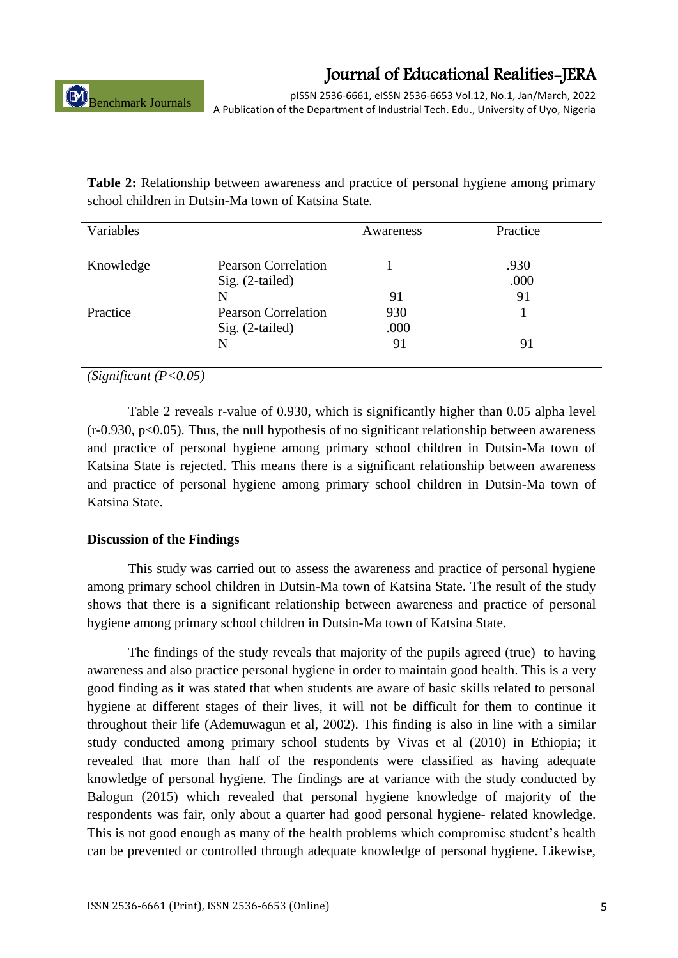pISSN 2536-6661, eISSN 2536-6653 Vol.12, No.1, Jan/March, 2022 A Publication of the Department of Industrial Tech. Edu., University of Uyo, Nigeria

**Table 2:** Relationship between awareness and practice of personal hygiene among primary school children in Dutsin-Ma town of Katsina State.

| Variables |                            | Awareness | Practice |
|-----------|----------------------------|-----------|----------|
|           |                            |           |          |
| Knowledge | <b>Pearson Correlation</b> |           | .930     |
|           | $Sig. (2-tailed)$          |           | .000     |
|           | N                          | 91        | 91       |
| Practice  | <b>Pearson Correlation</b> | 930       |          |
|           | Sig. (2-tailed)            | .000      |          |
|           | N                          | 91        | 91       |
|           |                            |           |          |

*(Significant (P<0.05)*

Table 2 reveals r-value of 0.930, which is significantly higher than 0.05 alpha level  $(r-0.930, p<0.05)$ . Thus, the null hypothesis of no significant relationship between awareness and practice of personal hygiene among primary school children in Dutsin-Ma town of Katsina State is rejected. This means there is a significant relationship between awareness and practice of personal hygiene among primary school children in Dutsin-Ma town of Katsina State.

## **Discussion of the Findings**

This study was carried out to assess the awareness and practice of personal hygiene among primary school children in Dutsin-Ma town of Katsina State. The result of the study shows that there is a significant relationship between awareness and practice of personal hygiene among primary school children in Dutsin-Ma town of Katsina State.

The findings of the study reveals that majority of the pupils agreed (true) to having awareness and also practice personal hygiene in order to maintain good health. This is a very good finding as it was stated that when students are aware of basic skills related to personal hygiene at different stages of their lives, it will not be difficult for them to continue it throughout their life (Ademuwagun et al, 2002). This finding is also in line with a similar study conducted among primary school students by Vivas et al (2010) in Ethiopia; it revealed that more than half of the respondents were classified as having adequate knowledge of personal hygiene. The findings are at variance with the study conducted by Balogun (2015) which revealed that personal hygiene knowledge of majority of the respondents was fair, only about a quarter had good personal hygiene- related knowledge. This is not good enough as many of the health problems which compromise student"s health can be prevented or controlled through adequate knowledge of personal hygiene. Likewise,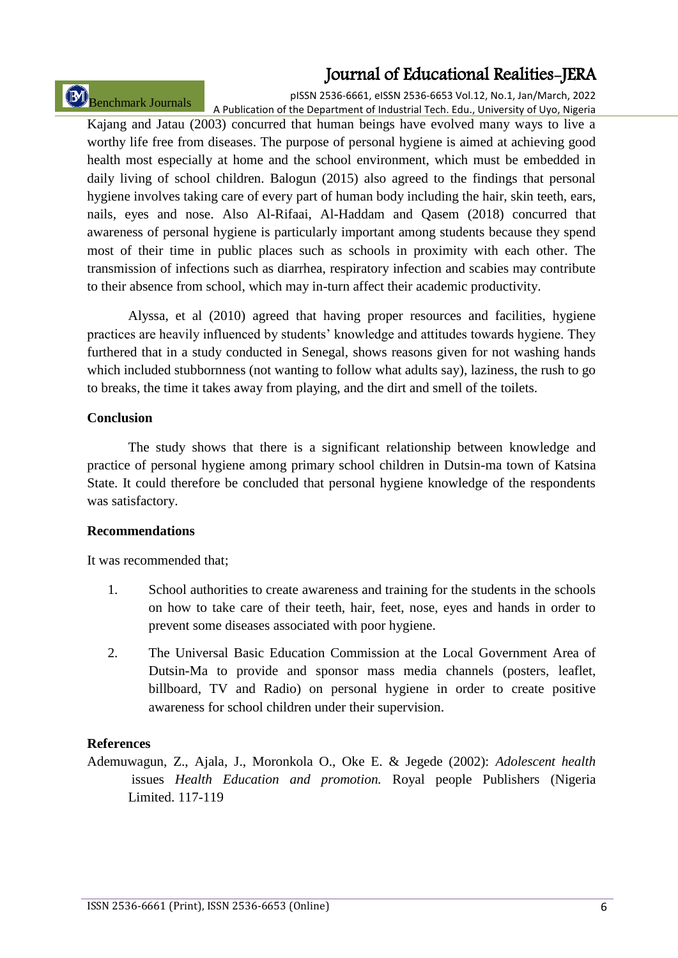Benchmark Journals

pISSN 2536-6661, eISSN 2536-6653 Vol.12, No.1, Jan/March, 2022 A Publication of the Department of Industrial Tech. Edu., University of Uyo, Nigeria

Kajang and Jatau (2003) concurred that human beings have evolved many ways to live a worthy life free from diseases. The purpose of personal hygiene is aimed at achieving good health most especially at home and the school environment, which must be embedded in daily living of school children. Balogun (2015) also agreed to the findings that personal hygiene involves taking care of every part of human body including the hair, skin teeth, ears, nails, eyes and nose. Also Al-Rifaai, Al-Haddam and Qasem (2018) concurred that awareness of personal hygiene is particularly important among students because they spend most of their time in public places such as schools in proximity with each other. The transmission of infections such as diarrhea, respiratory infection and scabies may contribute to their absence from school, which may in-turn affect their academic productivity.

Alyssa, et al (2010) agreed that having proper resources and facilities, hygiene practices are heavily influenced by students" knowledge and attitudes towards hygiene. They furthered that in a study conducted in Senegal, shows reasons given for not washing hands which included stubbornness (not wanting to follow what adults say), laziness, the rush to go to breaks, the time it takes away from playing, and the dirt and smell of the toilets.

### **Conclusion**

The study shows that there is a significant relationship between knowledge and practice of personal hygiene among primary school children in Dutsin-ma town of Katsina State. It could therefore be concluded that personal hygiene knowledge of the respondents was satisfactory.

#### **Recommendations**

It was recommended that;

- 1. School authorities to create awareness and training for the students in the schools on how to take care of their teeth, hair, feet, nose, eyes and hands in order to prevent some diseases associated with poor hygiene.
- 2. The Universal Basic Education Commission at the Local Government Area of Dutsin-Ma to provide and sponsor mass media channels (posters, leaflet, billboard, TV and Radio) on personal hygiene in order to create positive awareness for school children under their supervision.

## **References**

Ademuwagun, Z., Ajala, J., Moronkola O., Oke E. & Jegede (2002): *Adolescent health* issues *Health Education and promotion.* Royal people Publishers (Nigeria Limited. 117-119